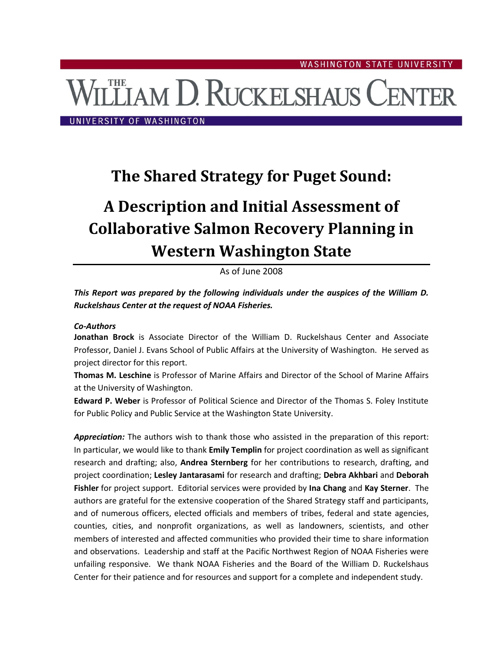# **THE AM D. RUCKELSHAUS CENTER**

UNIVERSITY OF WASHINGTON

# **The Shared Strategy for Puget Sound:**

# **A Description and Initial Assessment of Collaborative Salmon Recovery Planning in Western Washington State**

# As of June 2008

# *This Report was prepared by the following individuals under the auspices of the William D. Ruckelshaus Center at the request of NOAA Fisheries.*

#### *Co-Authors*

**Jonathan Brock** is Associate Director of the William D. Ruckelshaus Center and Associate Professor, Daniel J. Evans School of Public Affairs at the University of Washington. He served as project director for this report.

**Thomas M. Leschine** is Professor of Marine Affairs and Director of the School of Marine Affairs at the University of Washington.

**Edward P. Weber** is Professor of Political Science and Director of the Thomas S. Foley Institute for Public Policy and Public Service at the Washington State University.

*Appreciation:* The authors wish to thank those who assisted in the preparation of this report: In particular, we would like to thank **Emily Templin** for project coordination as well as significant research and drafting; also, **Andrea Sternberg** for her contributions to research, drafting, and project coordination; **Lesley Jantarasami** for research and drafting; **Debra Akhbari** and **Deborah Fishler** for project support. Editorial services were provided by **Ina Chang** and **Kay Sterner**. The authors are grateful for the extensive cooperation of the Shared Strategy staff and participants, and of numerous officers, elected officials and members of tribes, federal and state agencies, counties, cities, and nonprofit organizations, as well as landowners, scientists, and other members of interested and affected communities who provided their time to share information and observations. Leadership and staff at the Pacific Northwest Region of NOAA Fisheries were unfailing responsive. We thank NOAA Fisheries and the Board of the William D. Ruckelshaus Center for their patience and for resources and support for a complete and independent study.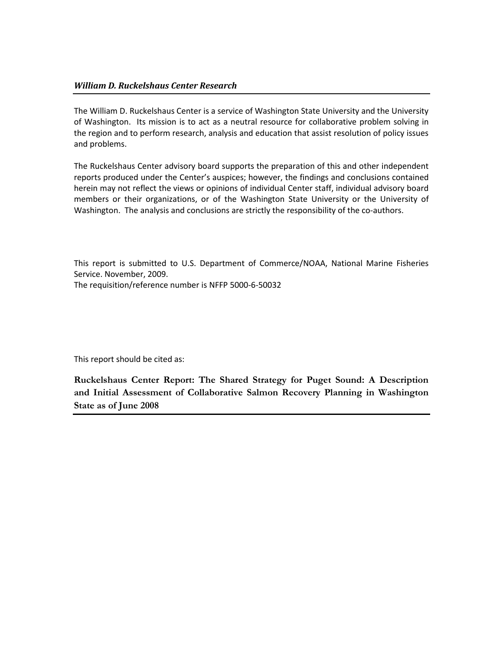The William D. Ruckelshaus Center is a service of Washington State University and the University of Washington. Its mission is to act as a neutral resource for collaborative problem solving in the region and to perform research, analysis and education that assist resolution of policy issues and problems.

The Ruckelshaus Center advisory board supports the preparation of this and other independent reports produced under the Center's auspices; however, the findings and conclusions contained herein may not reflect the views or opinions of individual Center staff, individual advisory board members or their organizations, or of the Washington State University or the University of Washington. The analysis and conclusions are strictly the responsibility of the co-authors.

This report is submitted to U.S. Department of Commerce/NOAA, National Marine Fisheries Service. November, 2009. The requisition/reference number is NFFP 5000-6-50032

This report should be cited as:

**Ruckelshaus Center Report: The Shared Strategy for Puget Sound: A Description and Initial Assessment of Collaborative Salmon Recovery Planning in Washington State as of June 2008**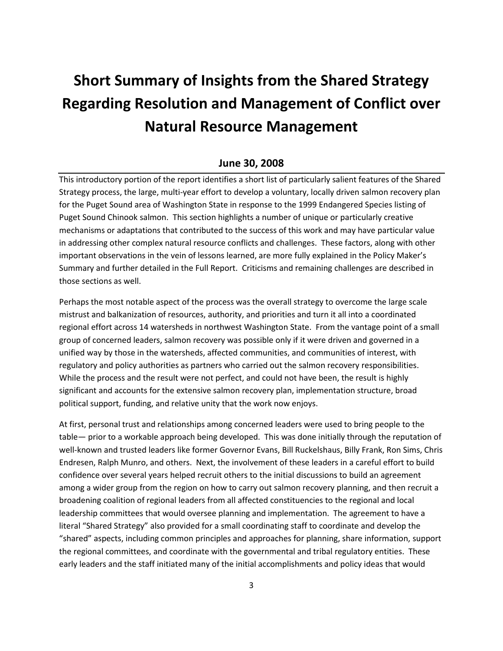# **Short Summary of Insights from the Shared Strategy Regarding Resolution and Management of Conflict over Natural Resource Management**

# **June 30, 2008**

This introductory portion of the report identifies a short list of particularly salient features of the Shared Strategy process, the large, multi-year effort to develop a voluntary, locally driven salmon recovery plan for the Puget Sound area of Washington State in response to the 1999 Endangered Species listing of Puget Sound Chinook salmon. This section highlights a number of unique or particularly creative mechanisms or adaptations that contributed to the success of this work and may have particular value in addressing other complex natural resource conflicts and challenges. These factors, along with other important observations in the vein of lessons learned, are more fully explained in the Policy Maker's Summary and further detailed in the Full Report. Criticisms and remaining challenges are described in those sections as well.

Perhaps the most notable aspect of the process was the overall strategy to overcome the large scale mistrust and balkanization of resources, authority, and priorities and turn it all into a coordinated regional effort across 14 watersheds in northwest Washington State. From the vantage point of a small group of concerned leaders, salmon recovery was possible only if it were driven and governed in a unified way by those in the watersheds, affected communities, and communities of interest, with regulatory and policy authorities as partners who carried out the salmon recovery responsibilities. While the process and the result were not perfect, and could not have been, the result is highly significant and accounts for the extensive salmon recovery plan, implementation structure, broad political support, funding, and relative unity that the work now enjoys.

At first, personal trust and relationships among concerned leaders were used to bring people to the table— prior to a workable approach being developed. This was done initially through the reputation of well-known and trusted leaders like former Governor Evans, Bill Ruckelshaus, Billy Frank, Ron Sims, Chris Endresen, Ralph Munro, and others. Next, the involvement of these leaders in a careful effort to build confidence over several years helped recruit others to the initial discussions to build an agreement among a wider group from the region on how to carry out salmon recovery planning, and then recruit a broadening coalition of regional leaders from all affected constituencies to the regional and local leadership committees that would oversee planning and implementation. The agreement to have a literal "Shared Strategy" also provided for a small coordinating staff to coordinate and develop the "shared" aspects, including common principles and approaches for planning, share information, support the regional committees, and coordinate with the governmental and tribal regulatory entities. These early leaders and the staff initiated many of the initial accomplishments and policy ideas that would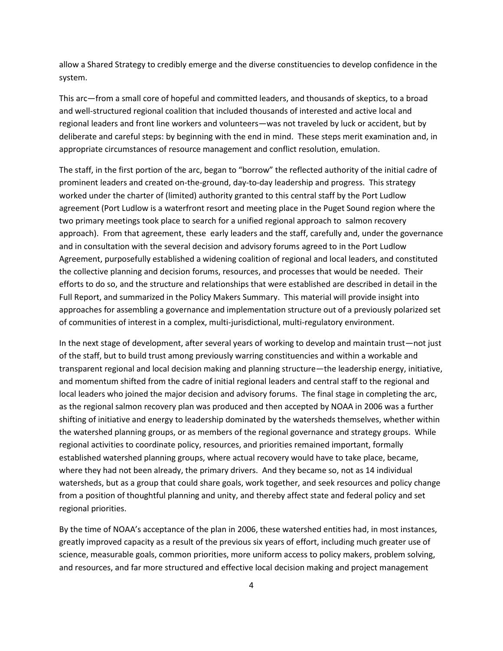allow a Shared Strategy to credibly emerge and the diverse constituencies to develop confidence in the system.

This arc—from a small core of hopeful and committed leaders, and thousands of skeptics, to a broad and well-structured regional coalition that included thousands of interested and active local and regional leaders and front line workers and volunteers—was not traveled by luck or accident, but by deliberate and careful steps: by beginning with the end in mind. These steps merit examination and, in appropriate circumstances of resource management and conflict resolution, emulation.

The staff, in the first portion of the arc, began to "borrow" the reflected authority of the initial cadre of prominent leaders and created on-the-ground, day-to-day leadership and progress. This strategy worked under the charter of (limited) authority granted to this central staff by the Port Ludlow agreement (Port Ludlow is a waterfront resort and meeting place in the Puget Sound region where the two primary meetings took place to search for a unified regional approach to salmon recovery approach). From that agreement, these early leaders and the staff, carefully and, under the governance and in consultation with the several decision and advisory forums agreed to in the Port Ludlow Agreement, purposefully established a widening coalition of regional and local leaders, and constituted the collective planning and decision forums, resources, and processes that would be needed. Their efforts to do so, and the structure and relationships that were established are described in detail in the Full Report, and summarized in the Policy Makers Summary. This material will provide insight into approaches for assembling a governance and implementation structure out of a previously polarized set of communities of interest in a complex, multi-jurisdictional, multi-regulatory environment.

In the next stage of development, after several years of working to develop and maintain trust—not just of the staff, but to build trust among previously warring constituencies and within a workable and transparent regional and local decision making and planning structure—the leadership energy, initiative, and momentum shifted from the cadre of initial regional leaders and central staff to the regional and local leaders who joined the major decision and advisory forums. The final stage in completing the arc, as the regional salmon recovery plan was produced and then accepted by NOAA in 2006 was a further shifting of initiative and energy to leadership dominated by the watersheds themselves, whether within the watershed planning groups, or as members of the regional governance and strategy groups. While regional activities to coordinate policy, resources, and priorities remained important, formally established watershed planning groups, where actual recovery would have to take place, became, where they had not been already, the primary drivers. And they became so, not as 14 individual watersheds, but as a group that could share goals, work together, and seek resources and policy change from a position of thoughtful planning and unity, and thereby affect state and federal policy and set regional priorities.

By the time of NOAA's acceptance of the plan in 2006, these watershed entities had, in most instances, greatly improved capacity as a result of the previous six years of effort, including much greater use of science, measurable goals, common priorities, more uniform access to policy makers, problem solving, and resources, and far more structured and effective local decision making and project management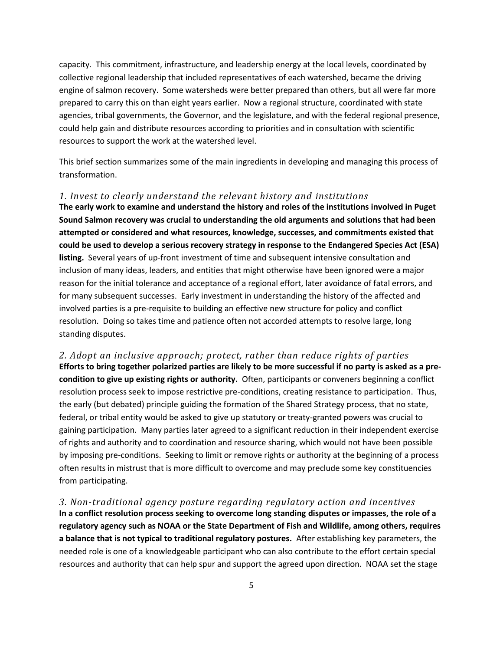capacity. This commitment, infrastructure, and leadership energy at the local levels, coordinated by collective regional leadership that included representatives of each watershed, became the driving engine of salmon recovery. Some watersheds were better prepared than others, but all were far more prepared to carry this on than eight years earlier. Now a regional structure, coordinated with state agencies, tribal governments, the Governor, and the legislature, and with the federal regional presence, could help gain and distribute resources according to priorities and in consultation with scientific resources to support the work at the watershed level.

This brief section summarizes some of the main ingredients in developing and managing this process of transformation.

#### *1. Invest to clearly understand the relevant history and institutions*

**The early work to examine and understand the history and roles of the institutions involved in Puget Sound Salmon recovery was crucial to understanding the old arguments and solutions that had been attempted or considered and what resources, knowledge, successes, and commitments existed that could be used to develop a serious recovery strategy in response to the Endangered Species Act (ESA) listing.** Several years of up-front investment of time and subsequent intensive consultation and inclusion of many ideas, leaders, and entities that might otherwise have been ignored were a major reason for the initial tolerance and acceptance of a regional effort, later avoidance of fatal errors, and for many subsequent successes. Early investment in understanding the history of the affected and involved parties is a pre-requisite to building an effective new structure for policy and conflict resolution. Doing so takes time and patience often not accorded attempts to resolve large, long standing disputes.

*2. Adopt an inclusive approach; protect, rather than reduce rights of parties* **Efforts to bring together polarized parties are likely to be more successful if no party is asked as a precondition to give up existing rights or authority.** Often, participants or conveners beginning a conflict resolution process seek to impose restrictive pre-conditions, creating resistance to participation. Thus, the early (but debated) principle guiding the formation of the Shared Strategy process, that no state, federal, or tribal entity would be asked to give up statutory or treaty-granted powers was crucial to gaining participation. Many parties later agreed to a significant reduction in their independent exercise of rights and authority and to coordination and resource sharing, which would not have been possible by imposing pre-conditions. Seeking to limit or remove rights or authority at the beginning of a process often results in mistrust that is more difficult to overcome and may preclude some key constituencies from participating.

*3. Non-traditional agency posture regarding regulatory action and incentives* **In a conflict resolution process seeking to overcome long standing disputes or impasses, the role of a regulatory agency such as NOAA or the State Department of Fish and Wildlife, among others, requires a balance that is not typical to traditional regulatory postures.** After establishing key parameters, the needed role is one of a knowledgeable participant who can also contribute to the effort certain special resources and authority that can help spur and support the agreed upon direction. NOAA set the stage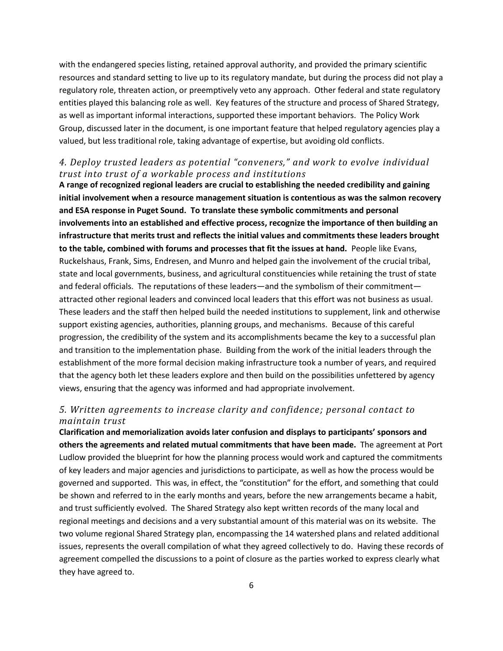with the endangered species listing, retained approval authority, and provided the primary scientific resources and standard setting to live up to its regulatory mandate, but during the process did not play a regulatory role, threaten action, or preemptively veto any approach. Other federal and state regulatory entities played this balancing role as well. Key features of the structure and process of Shared Strategy, as well as important informal interactions, supported these important behaviors. The Policy Work Group, discussed later in the document, is one important feature that helped regulatory agencies play a valued, but less traditional role, taking advantage of expertise, but avoiding old conflicts.

# *4. Deploy trusted leaders as potential "conveners," and work to evolve individual trust into trust of a workable process and institutions*

**A range of recognized regional leaders are crucial to establishing the needed credibility and gaining initial involvement when a resource management situation is contentious as was the salmon recovery and ESA response in Puget Sound. To translate these symbolic commitments and personal involvements into an established and effective process, recognize the importance of then building an infrastructure that merits trust and reflects the initial values and commitments these leaders brought to the table, combined with forums and processes that fit the issues at hand.** People like Evans, Ruckelshaus, Frank, Sims, Endresen, and Munro and helped gain the involvement of the crucial tribal, state and local governments, business, and agricultural constituencies while retaining the trust of state and federal officials. The reputations of these leaders—and the symbolism of their commitment attracted other regional leaders and convinced local leaders that this effort was not business as usual. These leaders and the staff then helped build the needed institutions to supplement, link and otherwise support existing agencies, authorities, planning groups, and mechanisms. Because of this careful progression, the credibility of the system and its accomplishments became the key to a successful plan and transition to the implementation phase. Building from the work of the initial leaders through the establishment of the more formal decision making infrastructure took a number of years, and required that the agency both let these leaders explore and then build on the possibilities unfettered by agency views, ensuring that the agency was informed and had appropriate involvement.

# *5. Written agreements to increase clarity and confidence; personal contact to maintain trust*

**Clarification and memorialization avoids later confusion and displays to participants' sponsors and others the agreements and related mutual commitments that have been made.** The agreement at Port Ludlow provided the blueprint for how the planning process would work and captured the commitments of key leaders and major agencies and jurisdictions to participate, as well as how the process would be governed and supported. This was, in effect, the "constitution" for the effort, and something that could be shown and referred to in the early months and years, before the new arrangements became a habit, and trust sufficiently evolved. The Shared Strategy also kept written records of the many local and regional meetings and decisions and a very substantial amount of this material was on its website. The two volume regional Shared Strategy plan, encompassing the 14 watershed plans and related additional issues, represents the overall compilation of what they agreed collectively to do. Having these records of agreement compelled the discussions to a point of closure as the parties worked to express clearly what they have agreed to.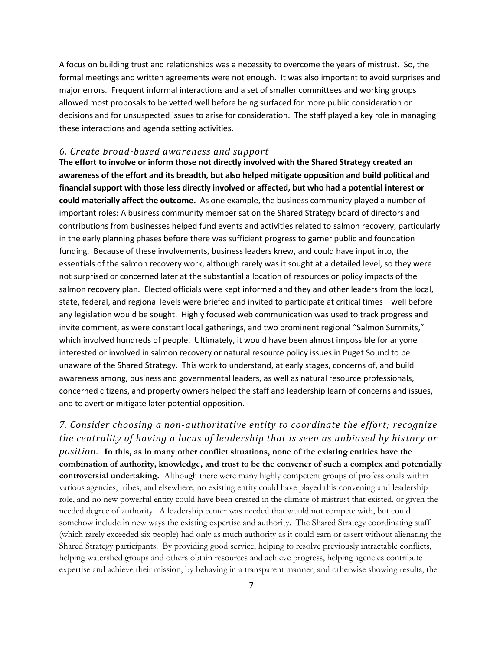A focus on building trust and relationships was a necessity to overcome the years of mistrust. So, the formal meetings and written agreements were not enough. It was also important to avoid surprises and major errors. Frequent informal interactions and a set of smaller committees and working groups allowed most proposals to be vetted well before being surfaced for more public consideration or decisions and for unsuspected issues to arise for consideration. The staff played a key role in managing these interactions and agenda setting activities.

#### *6. Create broad-based awareness and support*

**The effort to involve or inform those not directly involved with the Shared Strategy created an awareness of the effort and its breadth, but also helped mitigate opposition and build political and financial support with those less directly involved or affected, but who had a potential interest or could materially affect the outcome.** As one example, the business community played a number of important roles: A business community member sat on the Shared Strategy board of directors and contributions from businesses helped fund events and activities related to salmon recovery, particularly in the early planning phases before there was sufficient progress to garner public and foundation funding. Because of these involvements, business leaders knew, and could have input into, the essentials of the salmon recovery work, although rarely was it sought at a detailed level, so they were not surprised or concerned later at the substantial allocation of resources or policy impacts of the salmon recovery plan. Elected officials were kept informed and they and other leaders from the local, state, federal, and regional levels were briefed and invited to participate at critical times—well before any legislation would be sought. Highly focused web communication was used to track progress and invite comment, as were constant local gatherings, and two prominent regional "Salmon Summits," which involved hundreds of people. Ultimately, it would have been almost impossible for anyone interested or involved in salmon recovery or natural resource policy issues in Puget Sound to be unaware of the Shared Strategy. This work to understand, at early stages, concerns of, and build awareness among, business and governmental leaders, as well as natural resource professionals, concerned citizens, and property owners helped the staff and leadership learn of concerns and issues, and to avert or mitigate later potential opposition.

*7. Consider choosing a non-authoritative entity to coordinate the effort; recognize the centrality of having a locus of leadership that is seen as unbiased by history or position.* **In this, as in many other conflict situations, none of the existing entities have the combination of authority, knowledge, and trust to be the convener of such a complex and potentially controversial undertaking.** Although there were many highly competent groups of professionals within various agencies, tribes, and elsewhere, no existing entity could have played this convening and leadership role, and no new powerful entity could have been created in the climate of mistrust that existed, or given the needed degree of authority. A leadership center was needed that would not compete with, but could somehow include in new ways the existing expertise and authority. The Shared Strategy coordinating staff (which rarely exceeded six people) had only as much authority as it could earn or assert without alienating the Shared Strategy participants. By providing good service, helping to resolve previously intractable conflicts, helping watershed groups and others obtain resources and achieve progress, helping agencies contribute expertise and achieve their mission, by behaving in a transparent manner, and otherwise showing results, the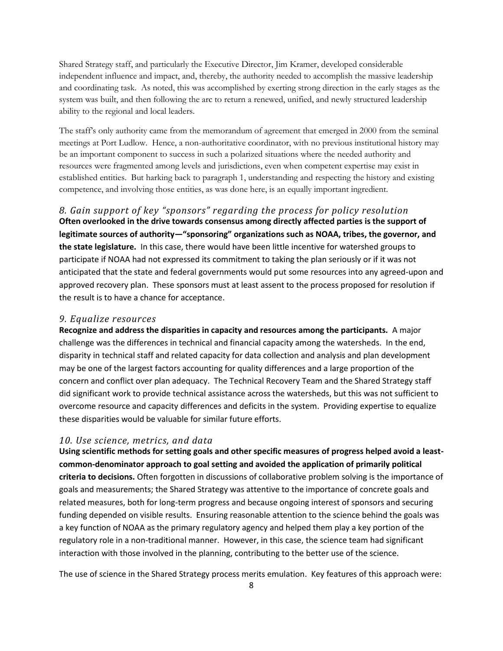Shared Strategy staff, and particularly the Executive Director, Jim Kramer, developed considerable independent influence and impact, and, thereby, the authority needed to accomplish the massive leadership and coordinating task. As noted, this was accomplished by exerting strong direction in the early stages as the system was built, and then following the arc to return a renewed, unified, and newly structured leadership ability to the regional and local leaders.

The staff's only authority came from the memorandum of agreement that emerged in 2000 from the seminal meetings at Port Ludlow. Hence, a non-authoritative coordinator, with no previous institutional history may be an important component to success in such a polarized situations where the needed authority and resources were fragmented among levels and jurisdictions, even when competent expertise may exist in established entities. But harking back to paragraph 1, understanding and respecting the history and existing competence, and involving those entities, as was done here, is an equally important ingredient.

*8. Gain support of key "sponsors" regarding the process for policy resolution* **Often overlooked in the drive towards consensus among directly affected parties is the support of legitimate sources of authority—"sponsoring" organizations such as NOAA, tribes, the governor, and the state legislature.** In this case, there would have been little incentive for watershed groups to participate if NOAA had not expressed its commitment to taking the plan seriously or if it was not anticipated that the state and federal governments would put some resources into any agreed-upon and approved recovery plan. These sponsors must at least assent to the process proposed for resolution if the result is to have a chance for acceptance.

#### *9. Equalize resources*

**Recognize and address the disparities in capacity and resources among the participants.** A major challenge was the differences in technical and financial capacity among the watersheds. In the end, disparity in technical staff and related capacity for data collection and analysis and plan development may be one of the largest factors accounting for quality differences and a large proportion of the concern and conflict over plan adequacy. The Technical Recovery Team and the Shared Strategy staff did significant work to provide technical assistance across the watersheds, but this was not sufficient to overcome resource and capacity differences and deficits in the system. Providing expertise to equalize these disparities would be valuable for similar future efforts.

#### *10. Use science, metrics, and data*

**Using scientific methods for setting goals and other specific measures of progress helped avoid a leastcommon-denominator approach to goal setting and avoided the application of primarily political criteria to decisions.** Often forgotten in discussions of collaborative problem solving is the importance of goals and measurements; the Shared Strategy was attentive to the importance of concrete goals and related measures, both for long-term progress and because ongoing interest of sponsors and securing funding depended on visible results. Ensuring reasonable attention to the science behind the goals was a key function of NOAA as the primary regulatory agency and helped them play a key portion of the regulatory role in a non-traditional manner. However, in this case, the science team had significant interaction with those involved in the planning, contributing to the better use of the science.

The use of science in the Shared Strategy process merits emulation. Key features of this approach were: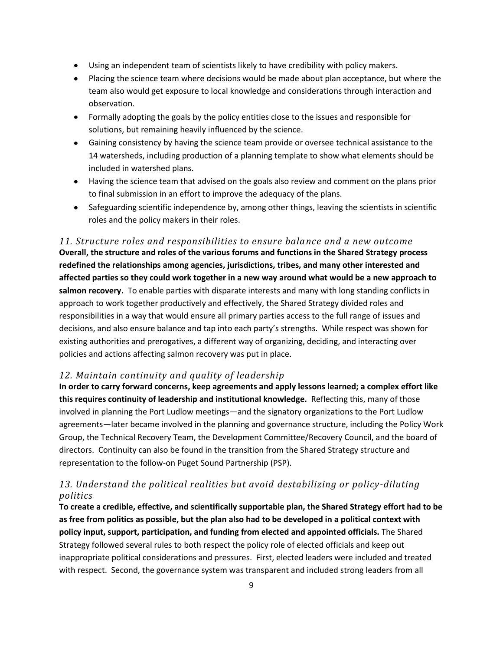- Using an independent team of scientists likely to have credibility with policy makers.
- Placing the science team where decisions would be made about plan acceptance, but where the team also would get exposure to local knowledge and considerations through interaction and observation.
- Formally adopting the goals by the policy entities close to the issues and responsible for solutions, but remaining heavily influenced by the science.
- Gaining consistency by having the science team provide or oversee technical assistance to the 14 watersheds, including production of a planning template to show what elements should be included in watershed plans.
- Having the science team that advised on the goals also review and comment on the plans prior to final submission in an effort to improve the adequacy of the plans.
- Safeguarding scientific independence by, among other things, leaving the scientists in scientific roles and the policy makers in their roles.

*11. Structure roles and responsibilities to ensure balance and a new outcome*  **Overall, the structure and roles of the various forums and functions in the Shared Strategy process redefined the relationships among agencies, jurisdictions, tribes, and many other interested and affected parties so they could work together in a new way around what would be a new approach to salmon recovery.** To enable parties with disparate interests and many with long standing conflicts in approach to work together productively and effectively, the Shared Strategy divided roles and responsibilities in a way that would ensure all primary parties access to the full range of issues and decisions, and also ensure balance and tap into each party's strengths. While respect was shown for existing authorities and prerogatives, a different way of organizing, deciding, and interacting over policies and actions affecting salmon recovery was put in place.

# *12. Maintain continuity and quality of leadership*

**In order to carry forward concerns, keep agreements and apply lessons learned; a complex effort like this requires continuity of leadership and institutional knowledge.** Reflecting this, many of those involved in planning the Port Ludlow meetings—and the signatory organizations to the Port Ludlow agreements—later became involved in the planning and governance structure, including the Policy Work Group, the Technical Recovery Team, the Development Committee/Recovery Council, and the board of directors. Continuity can also be found in the transition from the Shared Strategy structure and representation to the follow-on Puget Sound Partnership (PSP).

# *13. Understand the political realities but avoid destabilizing or policy-diluting politics*

**To create a credible, effective, and scientifically supportable plan, the Shared Strategy effort had to be as free from politics as possible, but the plan also had to be developed in a political context with policy input, support, participation, and funding from elected and appointed officials.** The Shared Strategy followed several rules to both respect the policy role of elected officials and keep out inappropriate political considerations and pressures. First, elected leaders were included and treated with respect. Second, the governance system was transparent and included strong leaders from all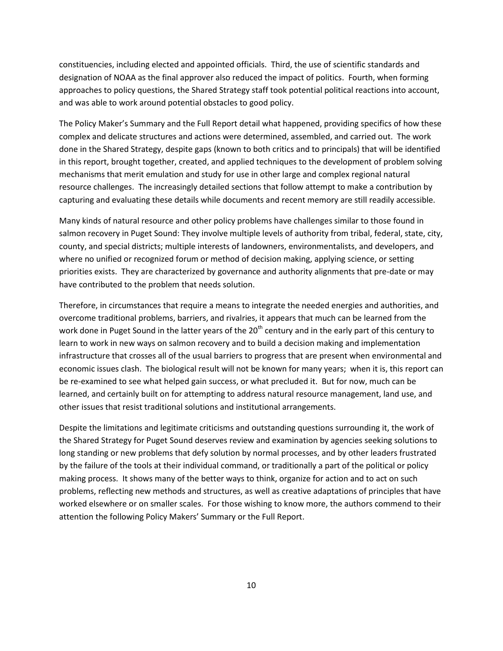constituencies, including elected and appointed officials. Third, the use of scientific standards and designation of NOAA as the final approver also reduced the impact of politics. Fourth, when forming approaches to policy questions, the Shared Strategy staff took potential political reactions into account, and was able to work around potential obstacles to good policy.

The Policy Maker's Summary and the Full Report detail what happened, providing specifics of how these complex and delicate structures and actions were determined, assembled, and carried out. The work done in the Shared Strategy, despite gaps (known to both critics and to principals) that will be identified in this report, brought together, created, and applied techniques to the development of problem solving mechanisms that merit emulation and study for use in other large and complex regional natural resource challenges. The increasingly detailed sections that follow attempt to make a contribution by capturing and evaluating these details while documents and recent memory are still readily accessible.

Many kinds of natural resource and other policy problems have challenges similar to those found in salmon recovery in Puget Sound: They involve multiple levels of authority from tribal, federal, state, city, county, and special districts; multiple interests of landowners, environmentalists, and developers, and where no unified or recognized forum or method of decision making, applying science, or setting priorities exists. They are characterized by governance and authority alignments that pre-date or may have contributed to the problem that needs solution.

Therefore, in circumstances that require a means to integrate the needed energies and authorities, and overcome traditional problems, barriers, and rivalries, it appears that much can be learned from the work done in Puget Sound in the latter years of the 20<sup>th</sup> century and in the early part of this century to learn to work in new ways on salmon recovery and to build a decision making and implementation infrastructure that crosses all of the usual barriers to progress that are present when environmental and economic issues clash. The biological result will not be known for many years; when it is, this report can be re-examined to see what helped gain success, or what precluded it. But for now, much can be learned, and certainly built on for attempting to address natural resource management, land use, and other issues that resist traditional solutions and institutional arrangements.

Despite the limitations and legitimate criticisms and outstanding questions surrounding it, the work of the Shared Strategy for Puget Sound deserves review and examination by agencies seeking solutions to long standing or new problems that defy solution by normal processes, and by other leaders frustrated by the failure of the tools at their individual command, or traditionally a part of the political or policy making process. It shows many of the better ways to think, organize for action and to act on such problems, reflecting new methods and structures, as well as creative adaptations of principles that have worked elsewhere or on smaller scales. For those wishing to know more, the authors commend to their attention the following Policy Makers' Summary or the Full Report.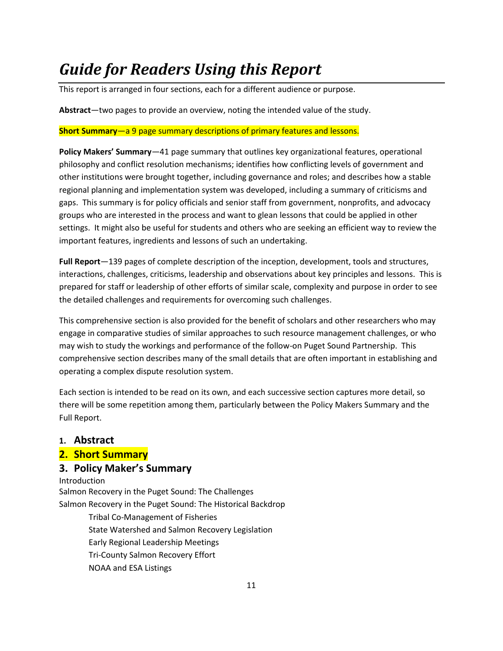# *Guide for Readers Using this Report*

This report is arranged in four sections, each for a different audience or purpose.

**Abstract**—two pages to provide an overview, noting the intended value of the study.

# **Short Summary**—a 9 page summary descriptions of primary features and lessons.

**Policy Makers' Summary**—41 page summary that outlines key organizational features, operational philosophy and conflict resolution mechanisms; identifies how conflicting levels of government and other institutions were brought together, including governance and roles; and describes how a stable regional planning and implementation system was developed, including a summary of criticisms and gaps. This summary is for policy officials and senior staff from government, nonprofits, and advocacy groups who are interested in the process and want to glean lessons that could be applied in other settings. It might also be useful for students and others who are seeking an efficient way to review the important features, ingredients and lessons of such an undertaking.

**Full Report**—139 pages of complete description of the inception, development, tools and structures, interactions, challenges, criticisms, leadership and observations about key principles and lessons. This is prepared for staff or leadership of other efforts of similar scale, complexity and purpose in order to see the detailed challenges and requirements for overcoming such challenges.

This comprehensive section is also provided for the benefit of scholars and other researchers who may engage in comparative studies of similar approaches to such resource management challenges, or who may wish to study the workings and performance of the follow-on Puget Sound Partnership. This comprehensive section describes many of the small details that are often important in establishing and operating a complex dispute resolution system.

Each section is intended to be read on its own, and each successive section captures more detail, so there will be some repetition among them, particularly between the Policy Makers Summary and the Full Report.

# **1. Abstract**

**2. Short Summary**

# **3. Policy Maker's Summary**

Introduction Salmon Recovery in the Puget Sound: The Challenges Salmon Recovery in the Puget Sound: The Historical Backdrop Tribal Co-Management of Fisheries State Watershed and Salmon Recovery Legislation Early Regional Leadership Meetings Tri-County Salmon Recovery Effort NOAA and ESA Listings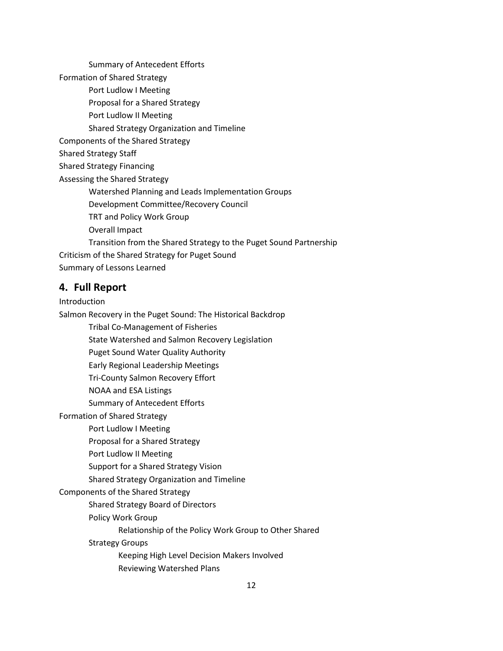Summary of Antecedent Efforts Formation of Shared Strategy Port Ludlow I Meeting Proposal for a Shared Strategy Port Ludlow II Meeting Shared Strategy Organization and Timeline Components of the Shared Strategy Shared Strategy Staff Shared Strategy Financing Assessing the Shared Strategy Watershed Planning and Leads Implementation Groups Development Committee/Recovery Council TRT and Policy Work Group Overall Impact Transition from the Shared Strategy to the Puget Sound Partnership Criticism of the Shared Strategy for Puget Sound Summary of Lessons Learned

## **4. Full Report**

Introduction

Salmon Recovery in the Puget Sound: The Historical Backdrop

Tribal Co-Management of Fisheries

State Watershed and Salmon Recovery Legislation

Puget Sound Water Quality Authority

Early Regional Leadership Meetings

Tri-County Salmon Recovery Effort

NOAA and ESA Listings

Summary of Antecedent Efforts

Formation of Shared Strategy

Port Ludlow I Meeting

Proposal for a Shared Strategy

Port Ludlow II Meeting

Support for a Shared Strategy Vision

Shared Strategy Organization and Timeline

Components of the Shared Strategy

Shared Strategy Board of Directors

Policy Work Group

Relationship of the Policy Work Group to Other Shared

Strategy Groups

Keeping High Level Decision Makers Involved

Reviewing Watershed Plans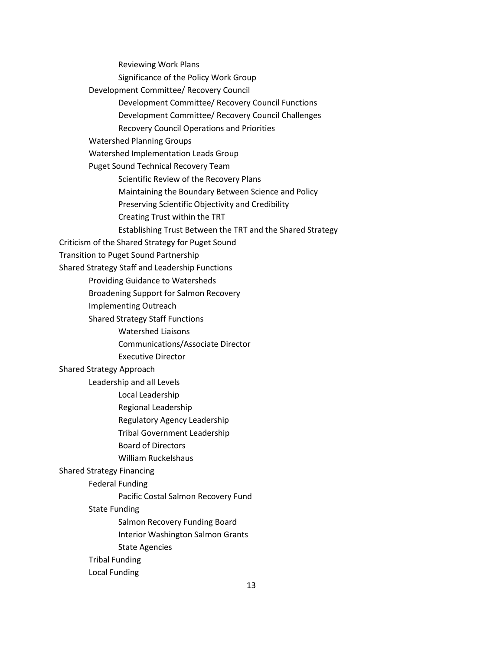Reviewing Work Plans Significance of the Policy Work Group Development Committee/ Recovery Council Development Committee/ Recovery Council Functions Development Committee/ Recovery Council Challenges Recovery Council Operations and Priorities Watershed Planning Groups Watershed Implementation Leads Group Puget Sound Technical Recovery Team Scientific Review of the Recovery Plans Maintaining the Boundary Between Science and Policy Preserving Scientific Objectivity and Credibility Creating Trust within the TRT Establishing Trust Between the TRT and the Shared Strategy Criticism of the Shared Strategy for Puget Sound Transition to Puget Sound Partnership Shared Strategy Staff and Leadership Functions Providing Guidance to Watersheds Broadening Support for Salmon Recovery Implementing Outreach Shared Strategy Staff Functions Watershed Liaisons Communications/Associate Director Executive Director Shared Strategy Approach Leadership and all Levels Local Leadership Regional Leadership Regulatory Agency Leadership Tribal Government Leadership Board of Directors William Ruckelshaus Shared Strategy Financing Federal Funding Pacific Costal Salmon Recovery Fund State Funding Salmon Recovery Funding Board Interior Washington Salmon Grants State Agencies Tribal Funding Local Funding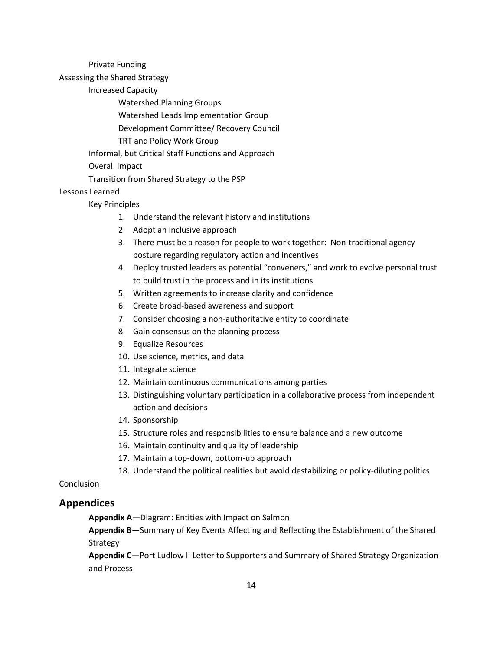Private Funding

Assessing the Shared Strategy

Increased Capacity

Watershed Planning Groups

Watershed Leads Implementation Group

Development Committee/ Recovery Council

TRT and Policy Work Group

Informal, but Critical Staff Functions and Approach

Overall Impact

Transition from Shared Strategy to the PSP

## Lessons Learned

#### Key Principles

- 1. Understand the relevant history and institutions
- 2. Adopt an inclusive approach
- 3. There must be a reason for people to work together: Non-traditional agency posture regarding regulatory action and incentives
- 4. Deploy trusted leaders as potential "conveners," and work to evolve personal trust to build trust in the process and in its institutions
- 5. Written agreements to increase clarity and confidence
- 6. Create broad-based awareness and support
- 7. Consider choosing a non-authoritative entity to coordinate
- 8. Gain consensus on the planning process
- 9. Equalize Resources
- 10. Use science, metrics, and data
- 11. Integrate science
- 12. Maintain continuous communications among parties
- 13. Distinguishing voluntary participation in a collaborative process from independent action and decisions
- 14. Sponsorship
- 15. Structure roles and responsibilities to ensure balance and a new outcome
- 16. Maintain continuity and quality of leadership
- 17. Maintain a top-down, bottom-up approach
- 18. Understand the political realities but avoid destabilizing or policy-diluting politics

Conclusion

### **Appendices**

**Appendix A**—Diagram: Entities with Impact on Salmon

**Appendix B**—Summary of Key Events Affecting and Reflecting the Establishment of the Shared Strategy

**Appendix C**—Port Ludlow II Letter to Supporters and Summary of Shared Strategy Organization and Process